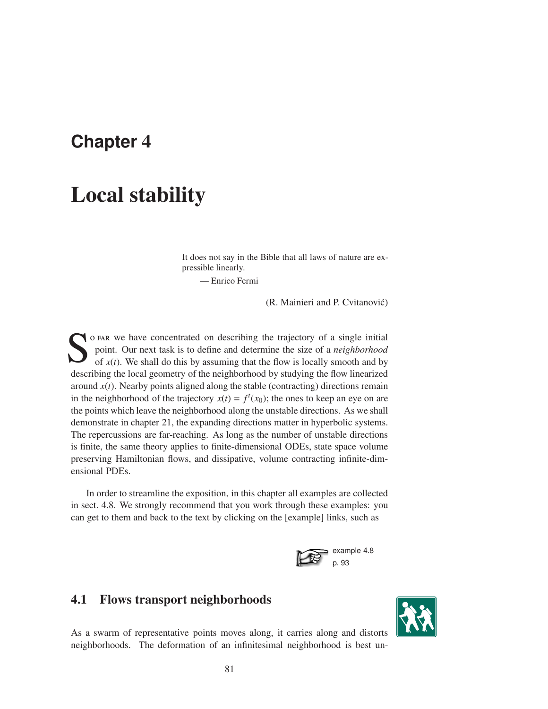## **Chapter** 4

# Local stability

It does not say in the Bible that all laws of nature are expressible linearly.

— Enrico Fermi

(R. Mainieri and P. Cvitanović)

S o FAR we have concentrated on describing the trajectory of a single initial point. Our next task is to define and determine the size of a *neighborhood* of  $x(t)$ . We shall do this by assuming that the flow is locally sm point. Our next task is to define and determine the size of a *neighborhood* of  $x(t)$ . We shall do this by assuming that the flow is locally smooth and by describing the local geometry of the neighborhood by studying the flow linearized around  $x(t)$ . Nearby points aligned along the stable (contracting) directions remain in the neighborhood of the trajectory  $x(t) = f<sup>t</sup>(x<sub>0</sub>)$ ; the ones to keep an eye on are the points which leave the neighborhood along the unstable directions. As we shall demonstrate in chapter 21, the expanding directions matter in hyperbolic systems. The repercussions are far-reaching. As long as the number of unstable directions is finite, the same theory applies to finite-dimensional ODEs, state space volume preserving Hamiltonian flows, and dissipative, volume contracting infinite-dimensional PDEs.

In order to streamline the exposition, in this chapter all examples are collected in sect. 4.8. We strongly recommend that you work through these examples: you can get to them and back to the text by clicking on the [example] links, such as



## 4.1 Flows transport neighborhoods



As a swarm of representative points moves along, it carries along and distorts neighborhoods. The deformation of an infinitesimal neighborhood is best un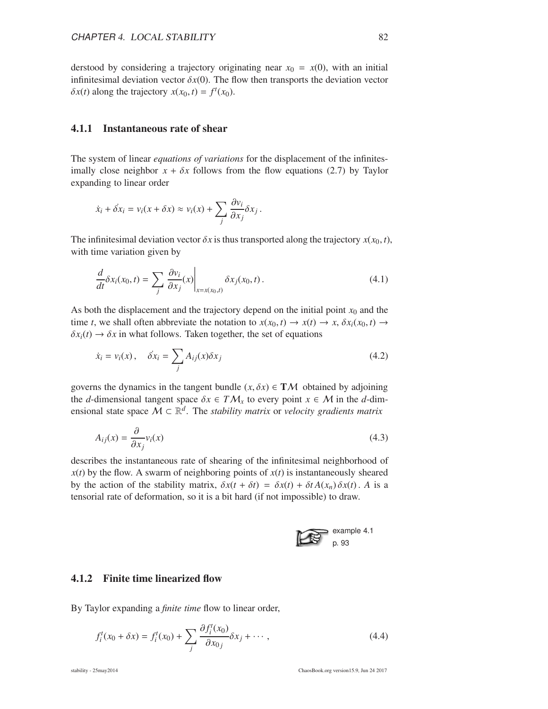derstood by considering a trajectory originating near  $x_0 = x(0)$ , with an initial infinitesimal deviation vector  $\delta x(0)$ . The flow then transports the deviation vector  $\delta x(t)$  along the trajectory  $x(x_0, t) = f^t(x_0)$ .

#### 4.1.1 Instantaneous rate of shear

The system of linear *equations of variations* for the displacement of the infinitesimally close neighbor  $x + \delta x$  follows from the flow equations (2.7) by Taylor expanding to linear order

$$
\dot{x}_i + \dot{\delta x}_i = v_i(x + \delta x) \approx v_i(x) + \sum_j \frac{\partial v_i}{\partial x_j} \delta x_j.
$$

The infinitesimal deviation vector  $\delta x$  is thus transported along the trajectory  $x(x_0, t)$ , with time variation given by

$$
\frac{d}{dt}\delta x_i(x_0, t) = \sum_j \left. \frac{\partial v_i}{\partial x_j}(x) \right|_{x = x(x_0, t)} \delta x_j(x_0, t).
$$
\n(4.1)

As both the displacement and the trajectory depend on the initial point  $x_0$  and the time *t*, we shall often abbreviate the notation to  $x(x_0, t) \rightarrow x(t) \rightarrow x$ ,  $\delta x_i(x_0, t) \rightarrow$  $\delta x_i(t) \rightarrow \delta x$  in what follows. Taken together, the set of equations

$$
\dot{x}_i = v_i(x), \quad \dot{\delta}x_i = \sum_j A_{ij}(x)\delta x_j \tag{4.2}
$$

governs the dynamics in the tangent bundle  $(x, \delta x) \in TM$  obtained by adjoining the *d*-dimensional tangent space  $\delta x \in TM_x$  to every point  $x \in M$  in the *d*-dimensional state space  $M \subset \mathbb{R}^d$ . The *stability matrix* or *velocity gradients matrix* 

$$
A_{ij}(x) = \frac{\partial}{\partial x_j} v_i(x) \tag{4.3}
$$

describes the instantaneous rate of shearing of the infinitesimal neighborhood of  $x(t)$  by the flow. A swarm of neighboring points of  $x(t)$  is instantaneously sheared by the action of the stability matrix,  $\delta x(t + \delta t) = \delta x(t) + \delta t A(x_n) \delta x(t)$ . A is a tensorial rate of deformation, so it is a bit hard (if not impossible) to draw.



#### 4.1.2 Finite time linearized flow

By Taylor expanding a *finite time* flow to linear order,

$$
f_i^t(x_0 + \delta x) = f_i^t(x_0) + \sum_j \frac{\partial f_i^t(x_0)}{\partial x_0} \delta x_j + \cdots, \qquad (4.4)
$$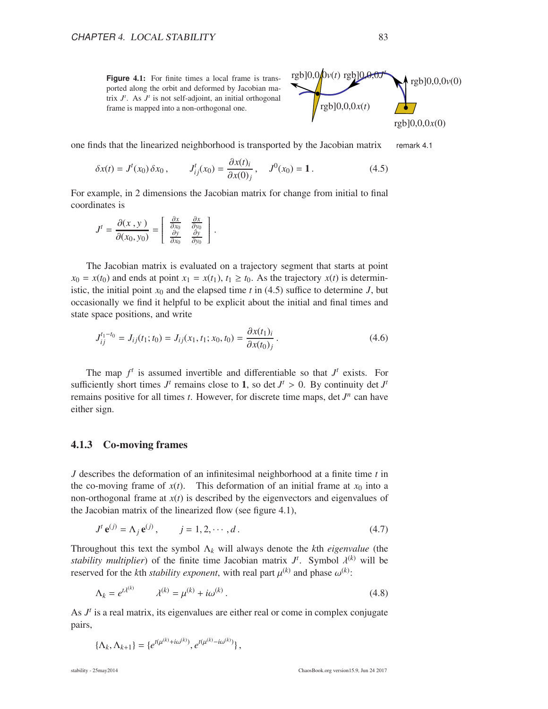**Figure** 4.1: For finite times a local frame is transported along the orbit and deformed by Jacobian matrix  $J^t$ . As  $J^t$  is not self-adjoint, an initial orthogonal frame is mapped into a non-orthogonal one.



one finds that the linearized neighborhood is transported by the Jacobian matrix remark 4.1

$$
\delta x(t) = J^{t}(x_0) \, \delta x_0 \,, \qquad J^{t}_{ij}(x_0) = \frac{\partial x(t)_i}{\partial x(0)_j} \,, \quad J^{0}(x_0) = 1 \,. \tag{4.5}
$$

For example, in 2 dimensions the Jacobian matrix for change from initial to final coordinates is

$$
J^{t} = \frac{\partial(x, y)}{\partial(x_0, y_0)} = \begin{bmatrix} \frac{\partial x}{\partial x_0} & \frac{\partial x}{\partial y_0} \\ \frac{\partial y}{\partial x_0} & \frac{\partial y}{\partial y_0} \end{bmatrix}.
$$

The Jacobian matrix is evaluated on a trajectory segment that starts at point  $x_0 = x(t_0)$  and ends at point  $x_1 = x(t_1)$ ,  $t_1 \ge t_0$ . As the trajectory  $x(t)$  is deterministic, the initial point  $x_0$  and the elapsed time  $t$  in (4.5) suffice to determine  $J$ , but occasionally we find it helpful to be explicit about the initial and final times and state space positions, and write

$$
J_{ij}^{t_1-t_0} = J_{ij}(t_1; t_0) = J_{ij}(x_1, t_1; x_0, t_0) = \frac{\partial x(t_1)_i}{\partial x(t_0)_j}.
$$
\n(4.6)

The map  $f^t$  is assumed invertible and differentiable so that  $J^t$  exists. For sufficiently short times  $J^t$  remains close to 1, so det  $J^t > 0$ . By continuity det  $J^t$ remains positive for all times  $t$ . However, for discrete time maps, det  $J^n$  can have either sign.

#### 4.1.3 Co-moving frames

*J* describes the deformation of an infinitesimal neighborhood at a finite time *t* in the co-moving frame of  $x(t)$ . This deformation of an initial frame at  $x_0$  into a non-orthogonal frame at  $x(t)$  is described by the eigenvectors and eigenvalues of the Jacobian matrix of the linearized flow (see figure 4.1),

$$
J^{t} \mathbf{e}^{(j)} = \Lambda_{j} \mathbf{e}^{(j)}, \qquad j = 1, 2, \cdots, d.
$$
 (4.7)

Throughout this text the symbol Λ*<sup>k</sup>* will always denote the *k*th *eigenvalue* (the *stability multiplier*) of the finite time Jacobian matrix  $J^t$ . Symbol  $\lambda^{(k)}$  will be reserved for the *k*th *stability exponent*, with real part  $\mu^{(k)}$  and phase  $\omega^{(k)}$ :

$$
\Lambda_k = e^{t\lambda^{(k)}} \qquad \lambda^{(k)} = \mu^{(k)} + i\omega^{(k)}\,. \tag{4.8}
$$

As  $J<sup>t</sup>$  is a real matrix, its eigenvalues are either real or come in complex conjugate pairs,

$$
\{\Lambda_k, \Lambda_{k+1}\} = \{e^{t(\mu^{(k)}+i\omega^{(k)})}, e^{t(\mu^{(k)}-i\omega^{(k)})}\},
$$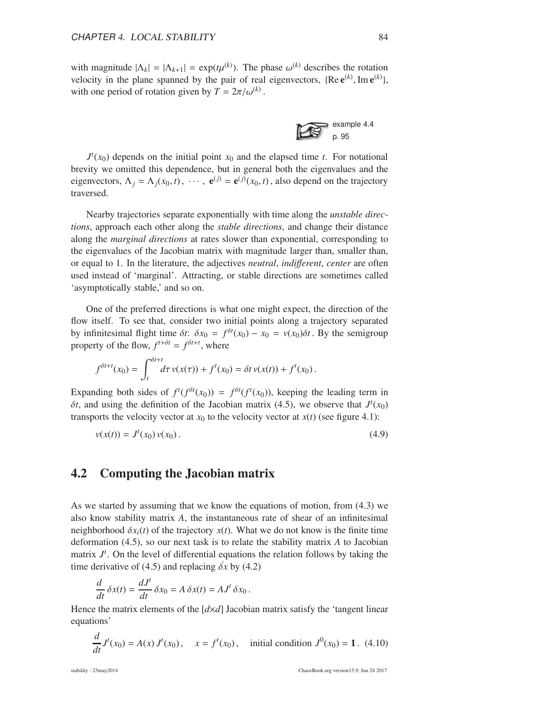with magnitude  $|\Lambda_k| = |\Lambda_{k+1}| = \exp(t\mu^{(k)})$ . The phase  $\omega^{(k)}$  describes the rotation velocity in the plane spanned by the pair of real eigenvectors,  $\{Re e^{(k)}, Im e^{(k)}\}$ , with one period of rotation given by  $T = 2\pi/\omega^{(k)}$ .



 $J^t(x_0)$  depends on the initial point  $x_0$  and the elapsed time *t*. For notational brevity we omitted this dependence, but in general both the eigenvalues and the eigenvectors,  $\Lambda_j = \Lambda_j(x_0, t)$ ,  $\cdots$ ,  $\mathbf{e}^{(j)} = \mathbf{e}^{(j)}(x_0, t)$ , also depend on the trajectory traversed.

Nearby trajectories separate exponentially with time along the *unstable directions*, approach each other along the *stable directions*, and change their distance along the *marginal directions* at rates slower than exponential, corresponding to the eigenvalues of the Jacobian matrix with magnitude larger than, smaller than, or equal to 1. In the literature, the adjectives *neutral*, *indi*ff*erent*, *center* are often used instead of 'marginal'. Attracting, or stable directions are sometimes called 'asymptotically stable,' and so on.

One of the preferred directions is what one might expect, the direction of the flow itself. To see that, consider two initial points along a trajectory separated by infinitesimal flight time  $\delta t$ :  $\delta x_0 = f^{\delta t}(x_0) - x_0 = v(x_0)\delta t$ . By the semigroup property of the flow,  $f^{t+\delta t} = f^{\delta t+t}$ , where

$$
f^{\delta t + t}(x_0) = \int_t^{\delta t + t} d\tau \, v(x(\tau)) + f^t(x_0) = \delta t \, v(x(t)) + f^t(x_0) \, .
$$

Expanding both sides of  $f^t(f^{\delta t}(x_0)) = f^{\delta t}(f^t(x_0))$ , keeping the leading term in  $\delta t$ , and using the definition of the Jacobian matrix (4.5), we observe that  $J^t(x_0)$ transports the velocity vector at  $x_0$  to the velocity vector at  $x(t)$  (see figure 4.1):

$$
v(x(t)) = Jt(x0) v(x0).
$$
\n(4.9)

#### 4.2 Computing the Jacobian matrix

As we started by assuming that we know the equations of motion, from (4.3) we also know stability matrix *A*, the instantaneous rate of shear of an infinitesimal neighborhood  $\delta x_i(t)$  of the trajectory  $x(t)$ . What we do not know is the finite time deformation (4.5), so our next task is to relate the stability matrix *A* to Jacobian matrix  $J<sup>t</sup>$ . On the level of differential equations the relation follows by taking the time derivative of (4.5) and replacing  $\delta x$  by (4.2)

$$
\frac{d}{dt}\,\delta x(t) = \frac{dJ^t}{dt}\,\delta x_0 = A\,\delta x(t) = A J^t\,\delta x_0\,.
$$

Hence the matrix elements of the  $\left[ d \times d \right]$  Jacobian matrix satisfy the 'tangent linear equations'

$$
\frac{d}{dt}J^{t}(x_{0}) = A(x) J^{t}(x_{0}), \quad x = f^{t}(x_{0}), \quad \text{initial condition } J^{0}(x_{0}) = 1. \tag{4.10}
$$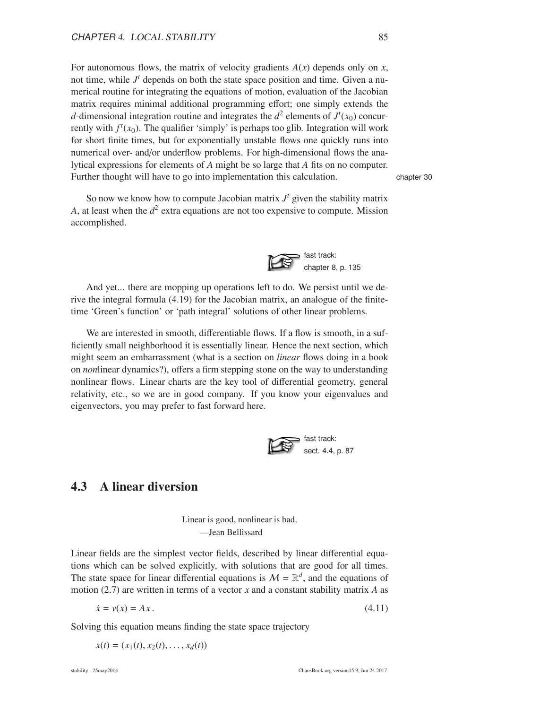For autonomous flows, the matrix of velocity gradients  $A(x)$  depends only on  $x$ , not time, while  $J<sup>t</sup>$  depends on both the state space position and time. Given a numerical routine for integrating the equations of motion, evaluation of the Jacobian matrix requires minimal additional programming effort; one simply extends the *d*-dimensional integration routine and integrates the  $d^2$  elements of  $J^t(x_0)$  concurrently with  $f^t(x_0)$ . The qualifier 'simply' is perhaps too glib. Integration will work for short finite times, but for exponentially unstable flows one quickly runs into numerical over- and/or underflow problems. For high-dimensional flows the analytical expressions for elements of *A* might be so large that *A* fits on no computer. Further thought will have to go into implementation this calculation. chapter 30

So now we know how to compute Jacobian matrix  $J<sup>t</sup>$  given the stability matrix *A*, at least when the  $d^2$  extra equations are not too expensive to compute. Mission accomplished.



And yet... there are mopping up operations left to do. We persist until we derive the integral formula (4.19) for the Jacobian matrix, an analogue of the finitetime 'Green's function' or 'path integral' solutions of other linear problems.

We are interested in smooth, differentiable flows. If a flow is smooth, in a sufficiently small neighborhood it is essentially linear. Hence the next section, which might seem an embarrassment (what is a section on *linear* flows doing in a book on *non*linear dynamics?), offers a firm stepping stone on the way to understanding nonlinear flows. Linear charts are the key tool of differential geometry, general relativity, etc., so we are in good company. If you know your eigenvalues and eigenvectors, you may prefer to fast forward here.



### 4.3 A linear diversion

Linear is good, nonlinear is bad. —Jean Bellissard

Linear fields are the simplest vector fields, described by linear differential equations which can be solved explicitly, with solutions that are good for all times. The state space for linear differential equations is  $M = \mathbb{R}^d$ , and the equations of motion (2.7) are written in terms of a vector *x* and a constant stability matrix *A* as

$$
\dot{x} = v(x) = Ax. \tag{4.11}
$$

Solving this equation means finding the state space trajectory

 $x(t) = (x_1(t), x_2(t), \ldots, x_d(t))$ 

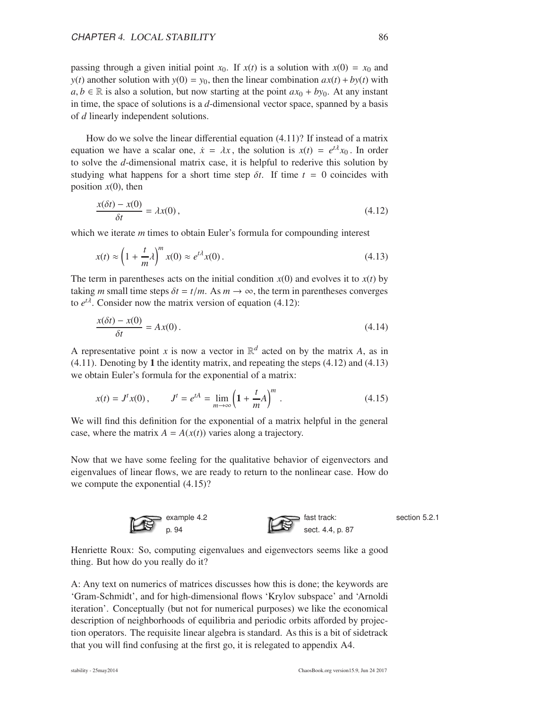passing through a given initial point  $x_0$ . If  $x(t)$  is a solution with  $x(0) = x_0$  and *y*(*t*) another solution with  $y(0) = y_0$ , then the linear combination  $ax(t) + by(t)$  with *a*, *b* ∈ ℝ is also a solution, but now starting at the point  $ax_0 + by_0$ . At any instant in time, the space of solutions is a *d*-dimensional vector space, spanned by a basis of *d* linearly independent solutions.

How do we solve the linear differential equation (4.11)? If instead of a matrix equation we have a scalar one,  $\dot{x} = \lambda x$ , the solution is  $x(t) = e^{t\lambda}x_0$ . In order to solve the *d*-dimensional matrix case, it is helpful to rederive this solution by studying what happens for a short time step  $\delta t$ . If time  $t = 0$  coincides with position  $x(0)$ , then

$$
\frac{x(\delta t) - x(0)}{\delta t} = \lambda x(0),\tag{4.12}
$$

which we iterate *m* times to obtain Euler's formula for compounding interest

$$
x(t) \approx \left(1 + \frac{t}{m}\lambda\right)^m x(0) \approx e^{t\lambda} x(0). \tag{4.13}
$$

The term in parentheses acts on the initial condition  $x(0)$  and evolves it to  $x(t)$  by taking *m* small time steps  $\delta t = t/m$ . As  $m \to \infty$ , the term in parentheses converges to  $e^{t\lambda}$ . Consider now the matrix version of equation (4.12):

$$
\frac{x(\delta t) - x(0)}{\delta t} = Ax(0). \tag{4.14}
$$

A representative point *x* is now a vector in  $\mathbb{R}^d$  acted on by the matrix *A*, as in (4.11). Denoting by 1 the identity matrix, and repeating the steps (4.12) and (4.13) we obtain Euler's formula for the exponential of a matrix:

$$
x(t) = Jt x(0), \qquad Jt = etA = \lim_{m \to \infty} \left( 1 + \frac{t}{m} A \right)^m.
$$
 (4.15)

We will find this definition for the exponential of a matrix helpful in the general case, where the matrix  $A = A(x(t))$  varies along a trajectory.

Now that we have some feeling for the qualitative behavior of eigenvectors and eigenvalues of linear flows, we are ready to return to the nonlinear case. How do we compute the exponential (4.15)?



section 5.2.1

Henriette Roux: So, computing eigenvalues and eigenvectors seems like a good thing. But how do you really do it?

A: Any text on numerics of matrices discusses how this is done; the keywords are 'Gram-Schmidt', and for high-dimensional flows 'Krylov subspace' and 'Arnoldi iteration'. Conceptually (but not for numerical purposes) we like the economical description of neighborhoods of equilibria and periodic orbits afforded by projection operators. The requisite linear algebra is standard. As this is a bit of sidetrack that you will find confusing at the first go, it is relegated to appendix A4.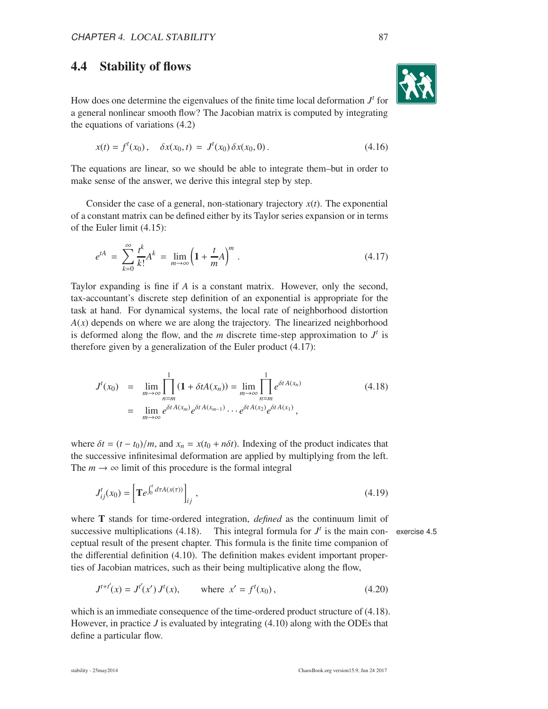## 4.4 Stability of flows

How does one determine the eigenvalues of the finite time local deformation  $J<sup>t</sup>$  for a general nonlinear smooth flow? The Jacobian matrix is computed by integrating the equations of variations (4.2)

$$
x(t) = ft(x0), \quad \delta x(x0, t) = Jt(x0) \delta x(x0, 0).
$$
 (4.16)

The equations are linear, so we should be able to integrate them–but in order to make sense of the answer, we derive this integral step by step.

Consider the case of a general, non-stationary trajectory  $x(t)$ . The exponential of a constant matrix can be defined either by its Taylor series expansion or in terms of the Euler limit (4.15):

$$
e^{tA} = \sum_{k=0}^{\infty} \frac{t^k}{k!} A^k = \lim_{m \to \infty} \left( 1 + \frac{t}{m} A \right)^m . \tag{4.17}
$$

Taylor expanding is fine if *A* is a constant matrix. However, only the second, tax-accountant's discrete step definition of an exponential is appropriate for the task at hand. For dynamical systems, the local rate of neighborhood distortion  $A(x)$  depends on where we are along the trajectory. The linearized neighborhood is deformed along the flow, and the  $m$  discrete time-step approximation to  $J<sup>t</sup>$  is therefore given by a generalization of the Euler product (4.17):

$$
J^{t}(x_{0}) = \lim_{m \to \infty} \prod_{n=m}^{1} (1 + \delta t A(x_{n})) = \lim_{m \to \infty} \prod_{n=m}^{1} e^{\delta t A(x_{n})}
$$
(4.18)  
= 
$$
\lim_{m \to \infty} e^{\delta t A(x_{m})} e^{\delta t A(x_{m-1})} \cdots e^{\delta t A(x_{2})} e^{\delta t A(x_{1})},
$$

where  $\delta t = (t - t_0)/m$ , and  $x_n = x(t_0 + n\delta t)$ . Indexing of the product indicates that the successive infinitesimal deformation are applied by multiplying from the left. The  $m \to \infty$  limit of this procedure is the formal integral

$$
J_{ij}^{t}(x_0) = \left[ \mathbf{T}e^{\int_0^t d\tau A(x(\tau))} \right]_{ij}, \qquad (4.19)
$$

where T stands for time-ordered integration, *defined* as the continuum limit of successive multiplications  $(4.18)$ . *t* is the main con- exercise 4.5 ceptual result of the present chapter. This formula is the finite time companion of the differential definition (4.10). The definition makes evident important properties of Jacobian matrices, such as their being multiplicative along the flow,

$$
J^{t+t'}(x) = J^{t'}(x') J^t(x), \qquad \text{where } x' = f^t(x_0), \tag{4.20}
$$

which is an immediate consequence of the time-ordered product structure of  $(4.18)$ . However, in practice *J* is evaluated by integrating (4.10) along with the ODEs that define a particular flow.

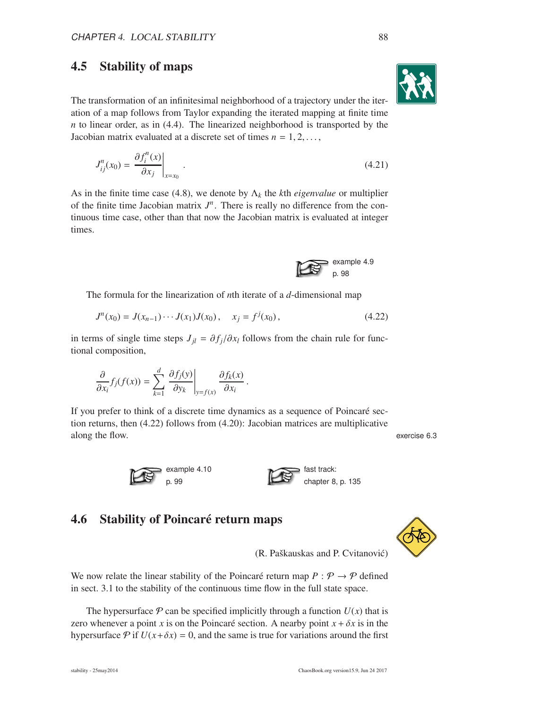## 4.5 Stability of maps

The transformation of an infinitesimal neighborhood of a trajectory under the iteration of a map follows from Taylor expanding the iterated mapping at finite time *n* to linear order, as in (4.4). The linearized neighborhood is transported by the Jacobian matrix evaluated at a discrete set of times  $n = 1, 2, \ldots$ ,

$$
J_{ij}^n(x_0) = \left. \frac{\partial f_i^n(x)}{\partial x_j} \right|_{x=x_0} . \tag{4.21}
$$

As in the finite time case (4.8), we denote by  $\Lambda_k$  the *k*th *eigenvalue* or multiplier of the finite time Jacobian matrix  $J<sup>n</sup>$ . There is really no difference from the continuous time case, other than that now the Jacobian matrix is evaluated at integer times.

The formula for the linearization of *n*th iterate of a *d*-dimensional map

$$
J^{n}(x_0) = J(x_{n-1}) \cdots J(x_1) J(x_0), \quad x_j = f^{j}(x_0), \tag{4.22}
$$

in terms of single time steps  $J_{jl} = \partial f_j / \partial x_l$  follows from the chain rule for functional composition,

$$
\frac{\partial}{\partial x_i} f_j(f(x)) = \sum_{k=1}^d \left. \frac{\partial f_j(y)}{\partial y_k} \right|_{y=f(x)} \frac{\partial f_k(x)}{\partial x_i}.
$$

If you prefer to think of a discrete time dynamics as a sequence of Poincaré section returns, then (4.22) follows from (4.20): Jacobian matrices are multiplicative along the flow. **EXERCISE EXERCISE EXERCISE EXERCISE EXERCISE EXERCISE EXERCISE EXERCISE EXERCISE EXERCISE** 





## 4.6 Stability of Poincaré return maps



(R. Paškauskas and P. Cvitanović)

We now relate the linear stability of the Poincaré return map  $P : \mathcal{P} \to \mathcal{P}$  defined in sect. 3.1 to the stability of the continuous time flow in the full state space.

The hypersurface  $P$  can be specified implicitly through a function  $U(x)$  that is zero whenever a point *x* is on the Poincaré section. A nearby point  $x + \delta x$  is in the hypersurface  $\mathcal P$  if  $U(x+\delta x) = 0$ , and the same is true for variations around the first

example 4.9 p. 98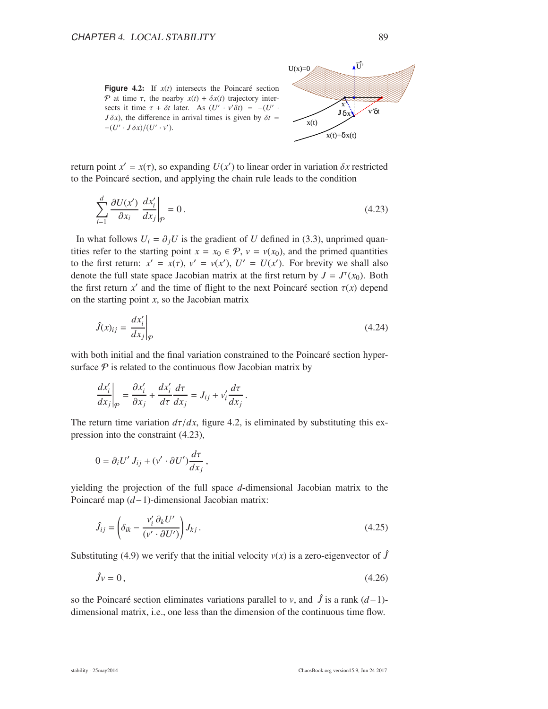**Figure** 4.2: If  $x(t)$  intersects the Poincaré section P at time  $\tau$ , the nearby  $x(t) + \delta x(t)$  trajectory intersects it time  $\tau + \delta t$  later. As  $(U' \cdot v' \delta t) = -(U' \cdot$  $J \delta x$ , the difference in arrival times is given by  $\delta t =$  $-(U' \cdot J \delta x)/(U' \cdot v').$ 



return point  $x' = x(\tau)$ , so expanding  $U(x')$  to linear order in variation  $\delta x$  restricted to the Poincar´e section, and applying the chain rule leads to the condition

$$
\sum_{i=1}^{d} \frac{\partial U(x')}{\partial x_i} \frac{dx'_i}{dx_j}\bigg|_{\mathcal{P}} = 0.
$$
\n(4.23)

In what follows  $U_i = \partial_i U$  is the gradient of *U* defined in (3.3), unprimed quantities refer to the starting point  $x = x_0 \in \mathcal{P}$ ,  $v = v(x_0)$ , and the primed quantities to the first return:  $x' = x(\tau)$ ,  $v' = v(x')$ ,  $U' = U(x')$ . For brevity we shall also denote the full state space Jacobian matrix at the first return by  $J = J^{\tau}(x_0)$ . Both the first return  $x'$  and the time of flight to the next Poincaré section  $\tau(x)$  depend on the starting point *x*, so the Jacobian matrix

$$
\hat{J}(x)_{ij} = \left. \frac{dx'_i}{dx_j} \right|_{\mathcal{P}} \tag{4.24}
$$

with both initial and the final variation constrained to the Poincaré section hypersurface  $P$  is related to the continuous flow Jacobian matrix by

$$
\left. \frac{dx_i'}{dx_j} \right|_{\mathcal{P}} = \frac{\partial x_i'}{\partial x_j} + \frac{dx_i'}{d\tau} \frac{d\tau}{dx_j} = J_{ij} + v_i' \frac{d\tau}{dx_j}.
$$

The return time variation  $d\tau/dx$ , figure 4.2, is eliminated by substituting this expression into the constraint (4.23),

$$
0 = \partial_i U' J_{ij} + (v' \cdot \partial U') \frac{d\tau}{dx_j},
$$

yielding the projection of the full space *d*-dimensional Jacobian matrix to the Poincaré map (*d*−1)-dimensional Jacobian matrix:

$$
\hat{J}_{ij} = \left(\delta_{ik} - \frac{v_i' \partial_k U'}{(v' \cdot \partial U')} \right) J_{kj}.
$$
\n(4.25)

Substituting (4.9) we verify that the initial velocity  $v(x)$  is a zero-eigenvector of  $\hat{J}$ 

$$
\hat{J}v = 0, \tag{4.26}
$$

so the Poincaré section eliminates variations parallel to *v*, and  $\hat{J}$  is a rank (*d*−1)dimensional matrix, i.e., one less than the dimension of the continuous time flow.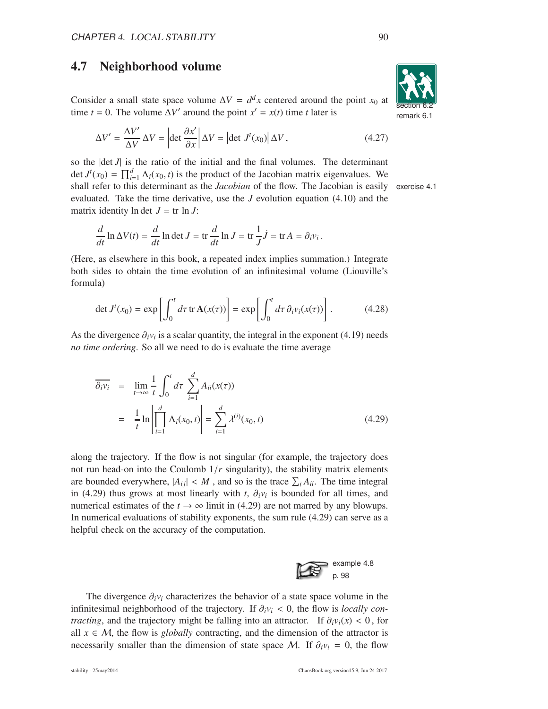#### 4.7 Neighborhood volume

Consider a small state space volume  $\Delta V = d^d x$  centered around the point  $x_0$  at time *t* = 0. The volume  $\Delta V'$  around the point  $x' = x(t)$  time *t* later is

$$
\Delta V' = \frac{\Delta V'}{\Delta V} \Delta V = \left| \det \frac{\partial x'}{\partial x} \right| \Delta V = \left| \det J'(x_0) \right| \Delta V, \tag{4.27}
$$

so the  $|\det J|$  is the ratio of the initial and the final volumes. The determinant det  $J^t(x_0) = \prod_{i=1}^d \Lambda_i(x_0, t)$  is the product of the Jacobian matrix eigenvalues. We shall refer to this determinant as the *Jacobian* of the flow. The Jacobian is easily exercise 4.1 evaluated. Take the time derivative, use the *J* evolution equation (4.10) and the matrix identity  $\ln \det J = \text{tr} \ln J$ :

$$
\frac{d}{dt}\ln \Delta V(t) = \frac{d}{dt}\ln \det J = \text{tr}\,\frac{d}{dt}\ln J = \text{tr}\,\frac{1}{J}\dot{J} = \text{tr}\,A = \partial_i v_i.
$$

(Here, as elsewhere in this book, a repeated index implies summation.) Integrate both sides to obtain the time evolution of an infinitesimal volume (Liouville's formula)

$$
\det J^{t}(x_{0}) = \exp \left[ \int_{0}^{t} d\tau \operatorname{tr} \mathbf{A}(x(\tau)) \right] = \exp \left[ \int_{0}^{t} d\tau \, \partial_{i} v_{i}(x(\tau)) \right]. \tag{4.28}
$$

As the divergence  $\partial_i v_i$  is a scalar quantity, the integral in the exponent (4.19) needs *no time ordering*. So all we need to do is evaluate the time average

$$
\overline{\partial_i v_i} = \lim_{t \to \infty} \frac{1}{t} \int_0^t d\tau \sum_{i=1}^d A_{ii}(x(\tau))
$$
  
=  $\frac{1}{t} \ln \left| \prod_{i=1}^d \Lambda_i(x_0, t) \right| = \sum_{i=1}^d \lambda^{(i)}(x_0, t)$  (4.29)

along the trajectory. If the flow is not singular (for example, the trajectory does not run head-on into the Coulomb  $1/r$  singularity), the stability matrix elements are bounded everywhere,  $|A_{ij}| < M$ , and so is the trace  $\sum_i A_{ii}$ . The time integral in (4.29) thus grows at most linearly with *t*,  $\partial_i v_i$  is bounded for all times, and numerical estimates of the  $t \to \infty$  limit in (4.29) are not marred by any blowups. In numerical evaluations of stability exponents, the sum rule (4.29) can serve as a helpful check on the accuracy of the computation.

The divergence  $\partial_i v_i$  characterizes the behavior of a state space volume in the infinitesimal neighborhood of the trajectory. If  $\partial_i v_i < 0$ , the flow is *locally contracting*, and the trajectory might be falling into an attractor. If  $\partial_i v_i(x) < 0$ , for all  $x \in M$ , the flow is *globally* contracting, and the dimension of the attractor is necessarily smaller than the dimension of state space M. If  $\partial_i v_i = 0$ , the flow

example 4.8 p. 98

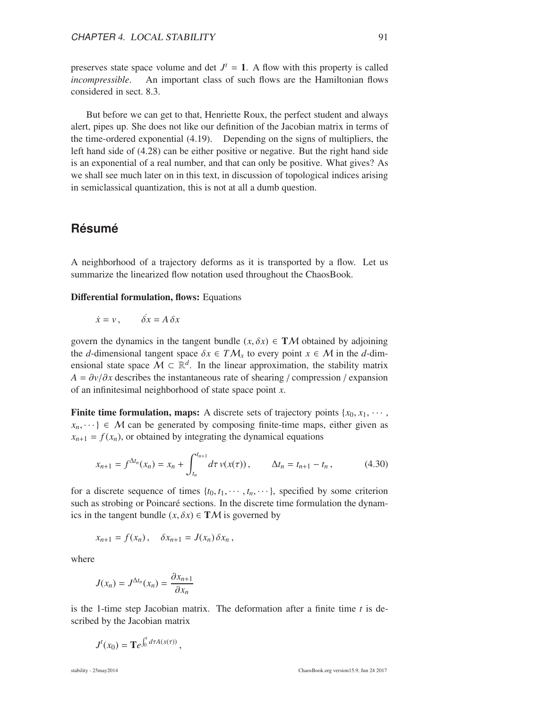preserves state space volume and det  $J^t = 1$ . A flow with this property is called *incompressible*. An important class of such flows are the Hamiltonian flows considered in sect. 8.3.

But before we can get to that, Henriette Roux, the perfect student and always alert, pipes up. She does not like our definition of the Jacobian matrix in terms of the time-ordered exponential (4.19). Depending on the signs of multipliers, the left hand side of (4.28) can be either positive or negative. But the right hand side is an exponential of a real number, and that can only be positive. What gives? As we shall see much later on in this text, in discussion of topological indices arising in semiclassical quantization, this is not at all a dumb question.

## **Résumé**

A neighborhood of a trajectory deforms as it is transported by a flow. Let us summarize the linearized flow notation used throughout the ChaosBook.

Differential formulation, flows: Equations

$$
\dot{x} = v, \qquad \dot{\delta x} = A \, \delta x
$$

govern the dynamics in the tangent bundle  $(x, \delta x) \in TM$  obtained by adjoining the *d*-dimensional tangent space  $\delta x \in TM_x$  to every point  $x \in M$  in the *d*-dimensional state space  $\mathcal{M} \subset \mathbb{R}^d$ . In the linear approximation, the stability matrix  $A = \partial v / \partial x$  describes the instantaneous rate of shearing / compression / expansion of an infinitesimal neighborhood of state space point *x*.

**Finite time formulation, maps:** A discrete sets of trajectory points  $\{x_0, x_1, \dots, x_n\}$  $x_n, \dots \in M$  can be generated by composing finite-time maps, either given as  $x_{n+1} = f(x_n)$ , or obtained by integrating the dynamical equations

$$
x_{n+1} = f^{\Delta t_n}(x_n) = x_n + \int_{t_n}^{t_{n+1}} d\tau \, v(x(\tau)) \,, \qquad \Delta t_n = t_{n+1} - t_n \,, \tag{4.30}
$$

for a discrete sequence of times  $\{t_0, t_1, \dots, t_n, \dots\}$ , specified by some criterion such as strobing or Poincaré sections. In the discrete time formulation the dynamics in the tangent bundle  $(x, \delta x) \in TM$  is governed by

$$
x_{n+1} = f(x_n), \quad \delta x_{n+1} = J(x_n) \delta x_n,
$$

where

$$
J(x_n) = J^{\Delta t_n}(x_n) = \frac{\partial x_{n+1}}{\partial x_n}
$$

is the 1-time step Jacobian matrix. The deformation after a finite time *t* is described by the Jacobian matrix

$$
J^t(x_0) = {\bf T}e^{\int_0^t d\tau A(x(\tau))},
$$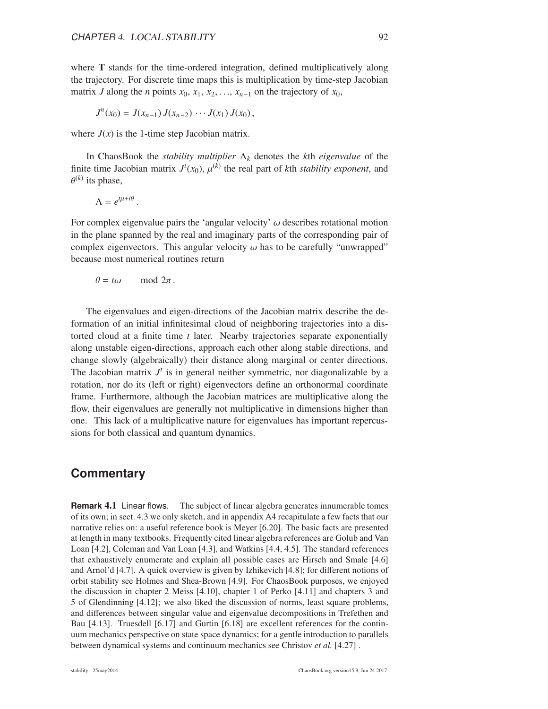where T stands for the time-ordered integration, defined multiplicatively along the trajectory. For discrete time maps this is multiplication by time-step Jacobian matrix *J* along the *n* points  $x_0, x_1, x_2, \ldots, x_{n-1}$  on the trajectory of  $x_0$ ,

$$
J^{n}(x_{0})=J(x_{n-1})J(x_{n-2})\cdots J(x_{1})J(x_{0}),
$$

where  $J(x)$  is the 1-time step Jacobian matrix.

In ChaosBook the *stability multiplier* Λ*<sup>k</sup>* denotes the *k*th *eigenvalue* of the finite time Jacobian matrix  $J^t(x_0)$ ,  $\mu^{(k)}$  the real part of *k*th *stability exponent*, and  $\theta^{(k)}$  its phase,

$$
\Lambda = e^{t\mu + i\theta}
$$

For complex eigenvalue pairs the 'angular velocity'  $\omega$  describes rotational motion in the plane spanned by the real and imaginary parts of the corresponding pair of complex eigenvectors. This angular velocity  $\omega$  has to be carefully "unwrapped" because most numerical routines return

$$
\theta = t\omega \quad \text{mod } 2\pi.
$$

.

The eigenvalues and eigen-directions of the Jacobian matrix describe the deformation of an initial infinitesimal cloud of neighboring trajectories into a distorted cloud at a finite time *t* later. Nearby trajectories separate exponentially along unstable eigen-directions, approach each other along stable directions, and change slowly (algebraically) their distance along marginal or center directions. The Jacobian matrix  $J<sup>t</sup>$  is in general neither symmetric, nor diagonalizable by a rotation, nor do its (left or right) eigenvectors define an orthonormal coordinate frame. Furthermore, although the Jacobian matrices are multiplicative along the flow, their eigenvalues are generally not multiplicative in dimensions higher than one. This lack of a multiplicative nature for eigenvalues has important repercussions for both classical and quantum dynamics.

#### **Commentary**

**Remark** 4.1 Linear flows. The subject of linear algebra generates innumerable tomes of its own; in sect. 4.3 we only sketch, and in appendix A4 recapitulate a few facts that our narrative relies on: a useful reference book is Meyer [6.20]. The basic facts are presented at length in many textbooks. Frequently cited linear algebra references are Golub and Van Loan [4.2], Coleman and Van Loan [4.3], and Watkins [4.4, 4.5]. The standard references that exhaustively enumerate and explain all possible cases are Hirsch and Smale [4.6] and Arnol'd [4.7]. A quick overview is given by Izhikevich [4.8]; for different notions of orbit stability see Holmes and Shea-Brown [4.9]. For ChaosBook purposes, we enjoyed the discussion in chapter 2 Meiss [4.10], chapter 1 of Perko [4.11] and chapters 3 and 5 of Glendinning [4.12]; we also liked the discussion of norms, least square problems, and differences between singular value and eigenvalue decompositions in Trefethen and Bau [4.13]. Truesdell [6.17] and Gurtin [6.18] are excellent references for the continuum mechanics perspective on state space dynamics; for a gentle introduction to parallels between dynamical systems and continuum mechanics see Christov *et al.* [4.27] .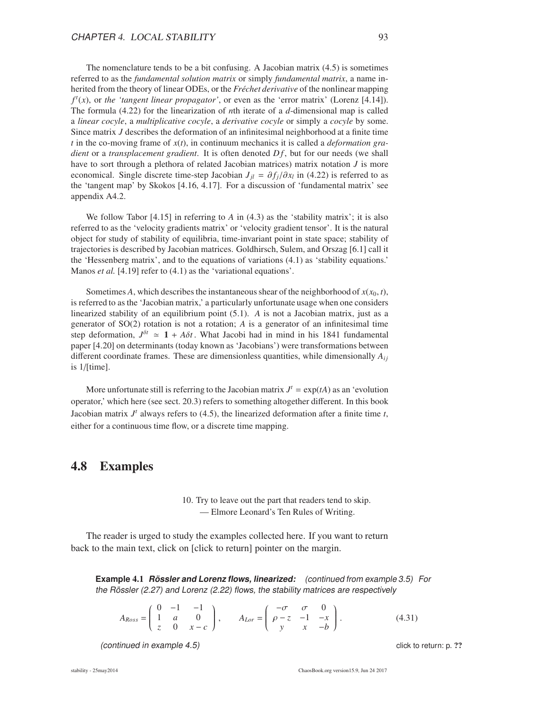The nomenclature tends to be a bit confusing. A Jacobian matrix (4.5) is sometimes referred to as the *fundamental solution matrix* or simply *fundamental matrix*, a name inherited from the theory of linear ODEs, or the *Fréchet derivative* of the nonlinear mapping  $f^t(x)$ , or *the 'tangent linear propagator'*, or even as the 'error matrix' (Lorenz [4.14]). The formula (4.22) for the linearization of *n*th iterate of a *d*-dimensional map is called a *linear cocyle*, a *multiplicative cocyle*, a *derivative cocyle* or simply a *cocyle* by some. Since matrix *J* describes the deformation of an infinitesimal neighborhood at a finite time *t* in the co-moving frame of *x*(*t*), in continuum mechanics it is called a *deformation gradient* or a *transplacement gradient*. It is often denoted  $Df$ , but for our needs (we shall have to sort through a plethora of related Jacobian matrices) matrix notation *J* is more economical. Single discrete time-step Jacobian  $J_{jl} = \partial f_j / \partial x_l$  in (4.22) is referred to as the 'tangent map' by Skokos [4.16, 4.17]. For a discussion of 'fundamental matrix' see appendix A4.2.

We follow Tabor [4.15] in referring to *A* in (4.3) as the 'stability matrix'; it is also referred to as the 'velocity gradients matrix' or 'velocity gradient tensor'. It is the natural object for study of stability of equilibria, time-invariant point in state space; stability of trajectories is described by Jacobian matrices. Goldhirsch, Sulem, and Orszag [6.1] call it the 'Hessenberg matrix', and to the equations of variations (4.1) as 'stability equations.' Manos *et al.* [4.19] refer to (4.1) as the 'variational equations'.

Sometimes *A*, which describes the instantaneous shear of the neighborhood of  $x(x_0, t)$ , is referred to as the 'Jacobian matrix,' a particularly unfortunate usage when one considers linearized stability of an equilibrium point (5.1). *A* is not a Jacobian matrix, just as a generator of SO(2) rotation is not a rotation; *A* is a generator of an infinitesimal time step deformation,  $J^{\delta t} \approx 1 + A\delta t$ . What Jacobi had in mind in his 1841 fundamental paper [4.20] on determinants (today known as 'Jacobians') were transformations between different coordinate frames. These are dimensionless quantities, while dimensionally  $A_{ij}$ is 1/[time].

More unfortunate still is referring to the Jacobian matrix  $J^t = \exp(tA)$  as an 'evolution operator,' which here (see sect. 20.3) refers to something altogether different. In this book Jacobian matrix  $J<sup>t</sup>$  always refers to (4.5), the linearized deformation after a finite time  $t$ , either for a continuous time flow, or a discrete time mapping.

#### 4.8 Examples

10. Try to leave out the part that readers tend to skip. — Elmore Leonard's Ten Rules of Writing.

The reader is urged to study the examples collected here. If you want to return back to the main text, click on [click to return] pointer on the margin.

**Example** 4.1 **Rossler and Lorenz flows, linearized: ¨** (continued from example 3.5) For the Rössler (2.27) and Lorenz (2.22) flows, the stability matrices are respectively

$$
A_{Ross} = \begin{pmatrix} 0 & -1 & -1 \\ 1 & a & 0 \\ z & 0 & x - c \end{pmatrix}, \qquad A_{Lor} = \begin{pmatrix} -\sigma & \sigma & 0 \\ \rho - z & -1 & -x \\ y & x & -b \end{pmatrix}.
$$
 (4.31)

(continued in example 4.5) continued in example 4.5)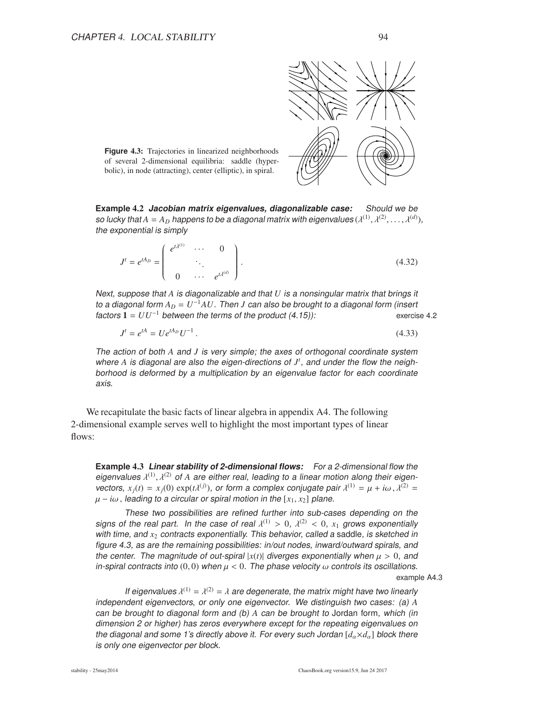

**Figure 4.3:** Trajectories in linearized neighborhoods of several 2-dimensional equilibria: saddle (hyperbolic), in node (attracting), center (elliptic), in spiral.

**Example** 4.2 **Jacobian matrix eigenvalues, diagonalizable case:** Should we be so lucky that  $A=A_D$  happens to be a diagonal matrix with eigenvalues  $(\lambda^{(1)},\lambda^{(2)},\ldots,\lambda^{(d)}),$ the exponential is simply

$$
J^{t} = e^{tA_D} = \begin{pmatrix} e^{t\lambda^{(1)}} & \cdots & 0 \\ \vdots & \ddots & \vdots \\ 0 & \cdots & e^{t\lambda^{(d)}} \end{pmatrix}.
$$
 (4.32)

Next, suppose that *A* is diagonalizable and that *U* is <sup>a</sup> nonsingular matrix that brings it to <sup>a</sup> diagonal form *A<sup>D</sup>* = *U* <sup>−</sup><sup>1</sup>*AU*. Then *J* can also be brought to <sup>a</sup> diagonal form (insert  $factors 1 = UU^{-1}$  between the terms of the product  $(4.15)$ : exercise 4.2

$$
J^t = e^{tA} = U e^{tA_D} U^{-1} \,. \tag{4.33}
$$

The action of both *A* and *J* is very simple; the axes of orthogonal coordinate system where *A* is diagonal are also the eigen-directions of *J t* , and under the flow the neighborhood is deformed by <sup>a</sup> multiplication by an eigenvalue factor for each coordinate axis.

We recapitulate the basic facts of linear algebra in appendix A4. The following 2-dimensional example serves well to highlight the most important types of linear flows:

**Example** 4.3 **Linear stability of 2-dimensional flows:** For <sup>a</sup> 2-dimensional flow the eigenvalues  $\lambda^{(1)},$   $\lambda^{(2)}$  of A are either real, leading to a linear motion along their eigenvectors,  $x_j(t) = x_j(0) \exp(t\lambda^{(j)})$ , or form a complex conjugate pair  $\lambda^{(1)} = \mu + i\omega$ ,  $\lambda^{(2)} =$  $\mu - i\omega$ , leading to a circular or spiral motion in the [ $x_1, x_2$ ] plane.

These two possibilities are refined further into sub-cases depending on the signs of the real part. In the case of real  $\lambda^{(1)} > 0$ ,  $\lambda^{(2)} < 0$ ,  $x_1$  grows exponentially with time, and  $x_2$  contracts exponentially. This behavior, called a saddle, is sketched in figure 4.3, as are the remaining possibilities: in/out nodes, inward/outward spirals, and the center. The magnitude of out-spiral  $|x(t)|$  diverges exponentially when  $\mu > 0$ , and in-spiral contracts into  $(0, 0)$  when  $\mu < 0$ . The phase velocity  $\omega$  controls its oscillations.

example A4.3

If eigenvalues  $\lambda^{(1)} = \lambda^{(2)} = \lambda$  are degenerate, the matrix might have two linearly independent eigenvectors, or only one eigenvector. We distinguish two cases: (a) *A* can be brought to diagonal form and (b) *A* can be brought to Jordan form, which (in dimension <sup>2</sup> or higher) has zeros everywhere except for the repeating eigenvalues on the diagonal and some 1's directly above it. For every such Jordan  $[d_{\alpha} \times d_{\alpha}]$  block there is only one eigenvector per block.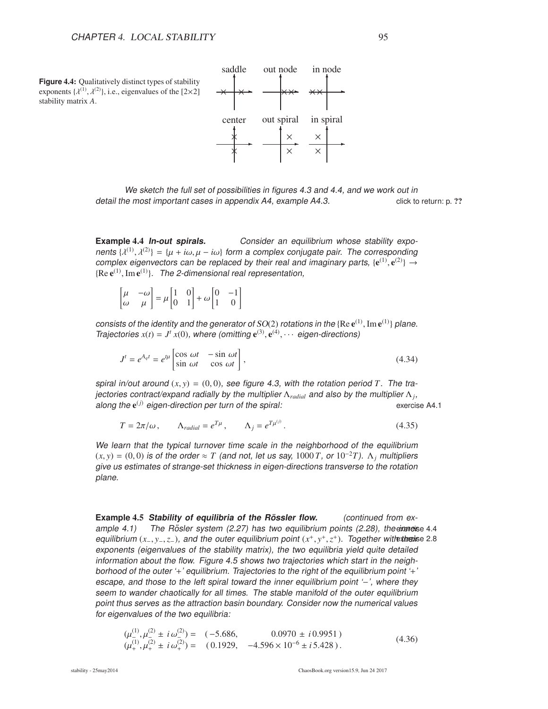

We sketch the full set of possibilities in figures 4.3 and 4.4, and we work out in detail the most important cases in appendix A4, example A4.3. click to return: p. ??

**Example 4.4 In-out spirals.** Consider an equilibrium whose stability exponents  $\{\lambda^{(1)}, \lambda^{(2)}\} = \{\mu + i\omega, \mu - i\omega\}$  form a complex conjugate pair. The corresponding complex eigenvectors can be replaced by their real and imaginary parts,  $\{e^{(1)}, e^{(2)}\} \rightarrow$  ${Re} e^{(1)}$ , Im $e^{(1)}$ . The 2-dimensional real representation,

| $\begin{bmatrix} \mu & -\omega \\ \omega & \mu \end{bmatrix} = \mu \begin{bmatrix} 1 & 0 \\ 0 & 1 \end{bmatrix} + \omega \begin{bmatrix} 0 & -1 \\ 1 & 0 \end{bmatrix}$ |  |  |  |  |
|-------------------------------------------------------------------------------------------------------------------------------------------------------------------------|--|--|--|--|
|-------------------------------------------------------------------------------------------------------------------------------------------------------------------------|--|--|--|--|

consists of the identity and the generator of  $SO(2)$  rotations in the {Re  $e^{(1)}$ , Im  $e^{(1)}$ } plane. Trajectories  $x(t) = J^t x(0)$ , where (omitting  $e^{(3)}$ ,  $e^{(4)}$ ,  $\cdots$  eigen-directions)

$$
J^{t} = e^{A_{q}t} = e^{t\mu} \begin{bmatrix} \cos \omega t & -\sin \omega t \\ \sin \omega t & \cos \omega t \end{bmatrix},
$$
 (4.34)

spiral in/out around  $(x, y) = (0, 0)$ , see figure 4.3, with the rotation period *T*. The trajectories contract/expand radially by the multiplier  $\Lambda_{radial}$  and also by the multiplier  $\Lambda_j$ , along the e<sup>(j)</sup> eigen-direction per turn of the spiral: exercise A4.1

$$
T = 2\pi/\omega, \qquad \Lambda_{radial} = e^{T\mu}, \qquad \Lambda_j = e^{T\mu^{(j)}}.
$$
 (4.35)

We learn that the typical turnover time scale in the neighborhood of the equilibrium  $(x, y) = (0, 0)$  is of the order  $\approx T$  (and not, let us say, 1000 *T*, or 10<sup>-2</sup>*T*).  $\Lambda_i$  multipliers give us estimates of strange-set thickness in eigen-directions transverse to the rotation plane.

**Example 4.5 Stability of equilibria of the Rössler flow. (continued from ex**ample 4.1) The Rösler system  $(2.27)$  has two equilibrium points  $(2.28)$ , the exercise 4.4 equilibrium  $(x_-, y_-, z_-)$ , and the outer equilibrium point  $(x^+, y^+, z^+)$ . Together with the sise 2.8 exponents (eigenvalues of the stability matrix), the two equilibria yield quite detailed information about the flow. Figure 4.5 shows two trajectories which start in the neighborhood of the outer '+' equilibrium. Trajectories to the right of the equilibrium point '+' escape, and those to the left spiral toward the inner equilibrium point '−', where they seem to wander chaotically for all times. The stable manifold of the outer equilibrium point thus serves as the attraction basin boundary. Consider now the numerical values for eigenvalues of the two equilibria:

$$
(\mu_{-}^{(1)}, \mu_{-}^{(2)} \pm i \omega_{-}^{(2)}) = (-5.686, 0.0970 \pm i 0.9951)
$$
  
\n
$$
(\mu_{+}^{(1)}, \mu_{+}^{(2)} \pm i \omega_{+}^{(2)}) = (0.1929, -4.596 \times 10^{-6} \pm i 5.428).
$$
\n(4.36)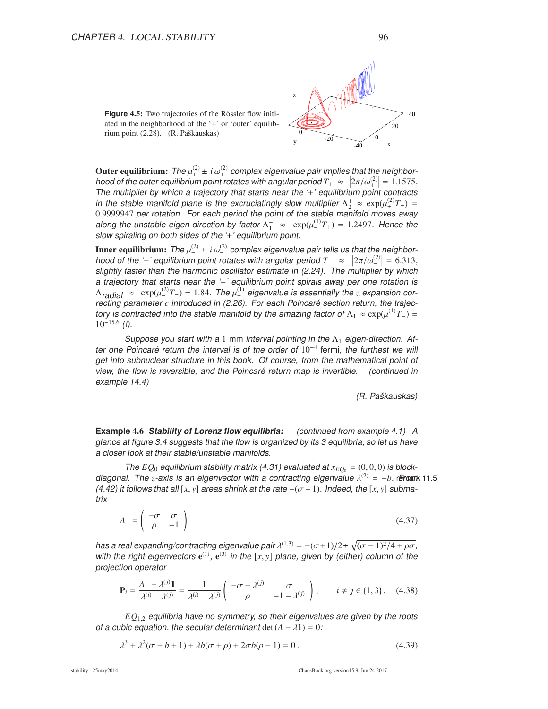



Outer equilibrium: The  $\mu_{+}^{(2)}$   $\pm i \omega_{+}^{(2)}$  complex eigenvalue pair implies that the neighborhood of the outer equilibrium point rotates with angular period  $T_+ \approx |2\pi/\omega_+^{(2)}| = 1.1575$ .<br>The multiplier by which a trajectory that starts near the  $\omega_+$  caughtrium point contracts The multiplier by which a trajectory that starts near the '+' equilibrium point contracts in the stable manifold plane is the excruciatingly slow multiplier  $\Lambda_2^+ \approx \exp(\mu_+^{(2)}T_+) =$ 0.9999947 per rotation. For each period the point of the stable manifold moves away along the unstable eigen-direction by factor  $\Lambda_1^+ \approx \exp(\mu_+^{(1)}T_+) = 1.2497$ . Hence the slow spiraling on both sides of the '+' equilibrium point.

**Inner equilibrium:** The  $\mu_{-}^{(2)} \pm i \omega_{-}^{(2)}$  complex eigenvalue pair tells us that the neighborhood of the '−' equilibrium point rotates with angular period  $T_{-} \approx |2\pi/\omega^{(2)}| = 6.313$ , slightly factor than the barmonic escillator estimate in (2.24). The multiplier by which slightly faster than the harmonic oscillator estimate in (2.24). The multiplier by which a trajectory that starts near the '-' equilibrium point spirals away per one rotation is  $\Lambda_{\text{radial}} \approx \exp(\mu_{-}^{(2)}T_{-}) = 1.84.$  The  $\mu_{-}^{(1)}$  eigenvalue is essentially the *z* expansion correcting parameter *c* introduced in (2.26). For each Poincaré section return, the trajectory is contracted into the stable manifold by the amazing factor of  $\Lambda_1 \approx \exp(\mu_{-}^{(1)}T_{-}) =$  $10^{-15.6}$  (!).

Suppose you start with a 1 mm interval pointing in the  $\Lambda_1$  eigen-direction. After one Poincaré return the interval is of the order of  $10^{-4}$  fermi, the furthest we will get into subnuclear structure in this book. Of course, from the mathematical point of view, the flow is reversible, and the Poincaré return map is invertible. (continued in example 14.4)

(R. Paskauskas) <sup>ˇ</sup>

**Example** 4.6 **Stability of Lorenz flow equilibria:** (continued from example 4.1) <sup>A</sup> glance at figure 3.4 suggests that the flow is organized by its 3 equilibria, so let us have <sup>a</sup> closer look at their stable/unstable manifolds.

The  $EQ_0$  equilibrium stability matrix (4.31) evaluated at  $x_{EO_0} = (0,0,0)$  is blockdiagonal. The *z*-axis is an eigenvector with a contracting eigenvalue  $\lambda^{(2)} = -b$ . Fineark 11.5 (4.42) it follows that all  $[x, y]$  areas shrink at the rate  $-(\sigma+1)$ . Indeed, the  $[x, y]$  submatrix

 $A^- = \begin{pmatrix} -\sigma & \sigma \\ 0 & -1 \end{pmatrix}$  $\rho$  −1 ! (4.37)

has a real expanding/contracting eigenvalue pair  $\lambda^{(1,3)} = -(\sigma+1)/2 \pm \sqrt{(\sigma-1)^2/4 + \rho\sigma}$ , with the right eigenvectors  $e^{(1)}$ ,  $e^{(3)}$  in the [x, y] plane, given by (either) column of the projection operator

$$
\mathbf{P}_{i} = \frac{A^{-} - \lambda^{(j)}\mathbf{1}}{\lambda^{(i)} - \lambda^{(j)}} = \frac{1}{\lambda^{(i)} - \lambda^{(j)}} \begin{pmatrix} -\sigma - \lambda^{(j)} & \sigma \\ \rho & -1 - \lambda^{(j)} \end{pmatrix}, \qquad i \neq j \in \{1, 3\}.
$$
 (4.38)

*EQ*1,<sup>2</sup> equilibria have no symmetry, so their eigenvalues are given by the roots of a cubic equation, the secular determinant det  $(A - \lambda 1) = 0$ :

$$
\lambda^3 + \lambda^2(\sigma + b + 1) + \lambda b(\sigma + \rho) + 2\sigma b(\rho - 1) = 0.
$$
\n(4.39)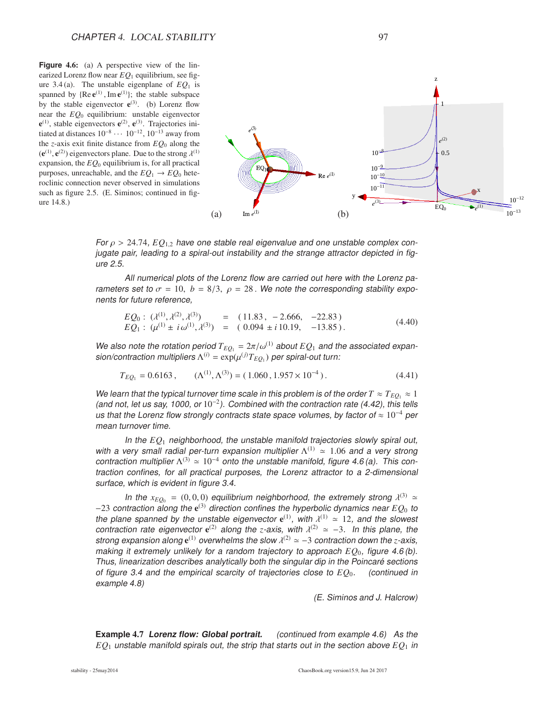**Figure 4.6:** (a) A perspective view of the linearized Lorenz flow near  $EQ_1$  equilibrium, see figure 3.4 (a). The unstable eigenplane of  $EQ<sub>1</sub>$  is spanned by  ${Re e^{(1)}$ , Im  $e^{(1)}$ ; the stable subspace by the stable eigenvector  $e^{(3)}$ . (b) Lorenz flow near the *EQ*<sup>0</sup> equilibrium: unstable eigenvector  $e^{(1)}$ , stable eigenvectors  $e^{(2)}$ ,  $e^{(3)}$ . Trajectories initiated at distances  $10^{-8} \cdots 10^{-12}$ ,  $10^{-13}$  away from the *z*-axis exit finite distance from *EQ*<sup>0</sup> along the  $(e^{(1)}, e^{(2)})$  eigenvectors plane. Due to the strong  $\lambda^{(1)}$ expansion, the  $EQ<sub>0</sub>$  equilibrium is, for all practical purposes, unreachable, and the  $EQ_1 \rightarrow EQ_0$  heteroclinic connection never observed in simulations such as figure 2.5. (E. Siminos; continued in figure 14.8.)



For  $\rho > 24.74$ ,  $EQ_{1,2}$  have one stable real eigenvalue and one unstable complex conjugate pair, leading to a spiral-out instability and the strange attractor depicted in figure 2.5.

All numerical plots of the Lorenz flow are carried out here with the Lorenz parameters set to  $\sigma = 10$ ,  $b = 8/3$ ,  $\rho = 28$ . We note the corresponding stability exponents for future reference,

$$
EQ_0: (\lambda^{(1)}, \lambda^{(2)}, \lambda^{(3)}) = (11.83, -2.666, -22.83)
$$
  
\n
$$
EQ_1: (\mu^{(1)} \pm i \omega^{(1)}, \lambda^{(3)}) = (0.094 \pm i 10.19, -13.85).
$$
\n(4.40)

We also note the rotation period  $T_{EO_1} = 2\pi/\omega^{(1)}$  about  $EO_1$  and the associated expan- ${\sf sion/contraction}$  multipliers  $\Lambda^{(i)} = {\sf exp}(\mu^{(j)}T_{EQ_1})$  per spiral-out turn:

$$
T_{EQ_1} = 0.6163 , \qquad (\Lambda^{(1)}, \Lambda^{(3)}) = (1.060, 1.957 \times 10^{-4}). \tag{4.41}
$$

We learn that the typical turnover time scale in this problem is of the order  $T \approx T_{EO_1} \approx 1$ (and not, let us say, 1000, or  $10^{-2}$ ). Combined with the contraction rate (4.42), this tells us that the Lorenz flow strongly contracts state space volumes, by factor of  $\approx 10^{-4}$  per mean turnover time.

In the *EQ*<sup>1</sup> neighborhood, the unstable manifold trajectories slowly spiral out, with a very small radial per-turn expansion multiplier  $\Lambda^{(1)} \approx 1.06$  and a very strong contraction multiplier  $\Lambda^{(3)} \simeq 10^{-4}$  onto the unstable manifold, figure 4.6(a). This contraction confines, for all practical purposes, the Lorenz attractor to <sup>a</sup> 2-dimensional surface, which is evident in figure 3.4.

In the  $x_{EQ_0} = (0,0,0)$  equilibrium neighborhood, the extremely strong  $\lambda^{(3)} \simeq$ −23 contraction along the e (3) direction confines the hyperbolic dynamics near *EQ*<sup>0</sup> to the plane spanned by the unstable eigenvector  $e^{(1)}$ , with  $\lambda^{(1)} \approx 12$ , and the slowest contraction rate eigenvector  $e^{(2)}$  along the *z*-axis, with  $\lambda^{(2)} \approx -3$ . In this plane, the strong expansion along  $e^{(1)}$  overwhelms the slow  $\lambda^{(2)} \simeq -3$  contraction down the *z*-axis, making it extremely unlikely for a random trajectory to approach  $EQ<sub>0</sub>$ , figure 4.6(b). Thus, linearization describes analytically both the singular dip in the Poincaré sections of figure 3.4 and the empirical scarcity of trajectories close to *EQ*0. (continued in example 4.8)

(E. Siminos and J. Halcrow)

**Example 4.7 Lorenz flow: Global portrait.** (continued from example 4.6) As the  $EQ<sub>1</sub>$  unstable manifold spirals out, the strip that starts out in the section above  $EQ<sub>1</sub>$  in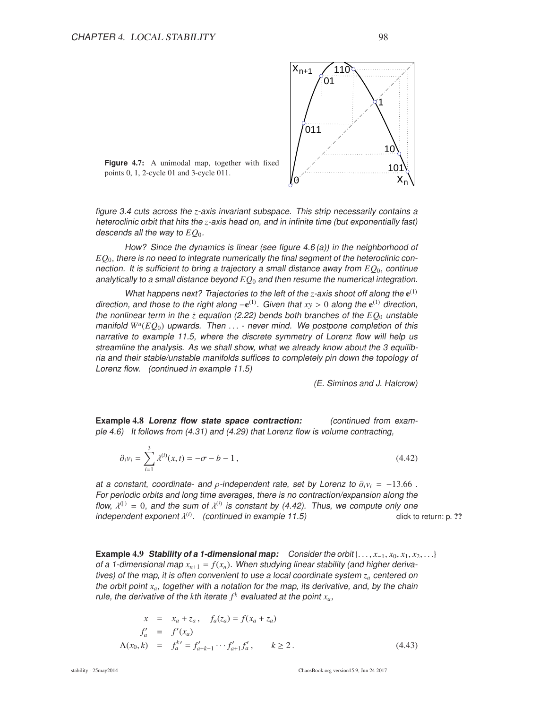

**Figure** 4.7: A unimodal map, together with fixed points 0, 1, 2-cycle 01 and 3-cycle 011.

figure 3.4 cuts across the *z*-axis invariant subspace. This strip necessarily contains <sup>a</sup> heteroclinic orbit that hits the *z*-axis head on, and in infinite time (but exponentially fast) descends all the way to *EQ*0.

How? Since the dynamics is linear (see figure 4.6 (a)) in the neighborhood of *EQ*<sup>0</sup>, there is no need to integrate numerically the final segment of the heteroclinic connection. It is sufficient to bring <sup>a</sup> trajectory <sup>a</sup> small distance away from *EQ*<sup>0</sup>, continue analytically to a small distance beyond  $EQ<sub>0</sub>$  and then resume the numerical integration.

What happens next? Trajectories to the left of the  $z$ -axis shoot off along the  $e^{(1)}$ direction, and those to the right along  $-e^{(1)}$ . Given that  $xy > 0$  along the  $e^{(1)}$  direction, the nonlinear term in the  $\dot{z}$  equation (2.22) bends both branches of the  $EQ_0$  unstable manifold *W<sup>u</sup>* (*EQ*0) upwards. Then . . . - never mind. We postpone completion of this narrative to example 11.5, where the discrete symmetry of Lorenz flow will help us streamline the analysis. As we shall show, what we already know about the 3 equilibria and their stable/unstable manifolds suffices to completely pin down the topology of Lorenz flow. (continued in example 11.5)

(E. Siminos and J. Halcrow)

**Example 4.8 Lorenz flow state space contraction:** (continued from example 4.6) It follows from  $(4.31)$  and  $(4.29)$  that Lorenz flow is volume contracting,

$$
\partial_i v_i = \sum_{i=1}^3 \lambda^{(i)}(x, t) = -\sigma - b - 1, \qquad (4.42)
$$

at a constant, coordinate- and  $\rho$ -independent rate, set by Lorenz to  $\partial_i v_i = -13.66$ . For periodic orbits and long time averages, there is no contraction/expansion along the flow,  $\lambda^{(1)} = 0$ , and the sum of  $\lambda^{(i)}$  is constant by (4.42). Thus, we compute only one independent exponent  $\lambda^{(i)}$ . (continued in example 11.5) click to return: p. ??

**Example 4.9 Stability of a 1-dimensional map:** Consider the orbit {...,  $x_{-1}$ ,  $x_0$ ,  $x_1$ ,  $x_2$ , ...} of a 1-dimensional map  $x_{n+1} = f(x_n)$ . When studying linear stability (and higher derivatives) of the map, it is often convenient to use <sup>a</sup> local coordinate system *z<sup>a</sup>* centered on the orbit point  $x_a$ , together with a notation for the map, its derivative, and, by the chain rule, the derivative of the  $k$ th iterate  $f^k$  evaluated at the point  $x_a$ ,

$$
x = x_a + z_a, \quad f_a(z_a) = f(x_a + z_a)
$$
  
\n
$$
f'_a = f'(x_a)
$$
  
\n
$$
\Lambda(x_0, k) = f_a^{k'} = f'_{a+k-1} \cdots f'_{a+1} f'_a, \qquad k \ge 2.
$$
\n(4.43)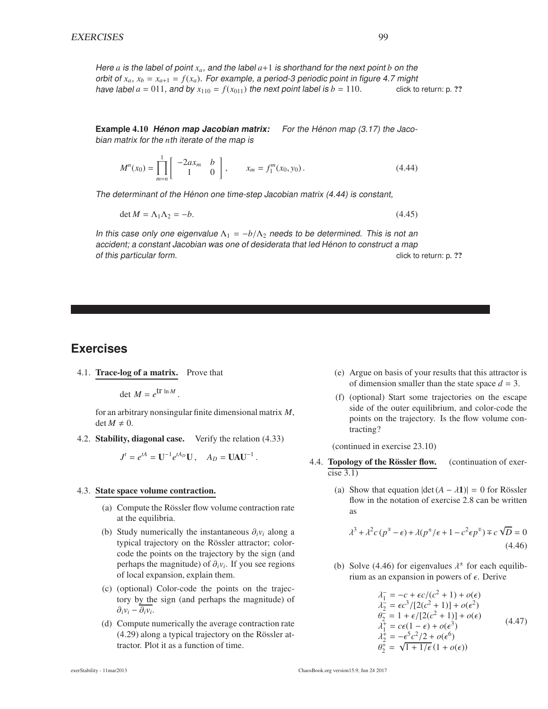Here  $a$  is the label of point  $x_a$ , and the label  $a+1$  is shorthand for the next point  $b$  on the orbit of  $x_a$ ,  $x_b = x_{a+1} = f(x_a)$ . For example, a period-3 periodic point in figure 4.7 might have label  $a = 011$ , and by  $x_{110} = f(x_{011})$  the next point label is  $b = 110$ . click to return: p. ??

**Example 4.10 Henon map Jacobian matrix:** For the Henon map (3.17) the Jacobian matrix for the *n*th iterate of the map is

$$
M^{n}(x_{0}) = \prod_{m=n}^{1} \begin{bmatrix} -2ax_{m} & b \\ 1 & 0 \end{bmatrix}, \qquad x_{m} = f_{1}^{m}(x_{0}, y_{0}). \tag{4.44}
$$

The determinant of the Hénon one time-step Jacobian matrix (4.44) is constant,

$$
\det M = \Lambda_1 \Lambda_2 = -b. \tag{4.45}
$$

In this case only one eigenvalue  $\Lambda_1 = -b/\Lambda_2$  needs to be determined. This is not an accident; a constant Jacobian was one of desiderata that led Hénon to construct a map of this particular form. Contained the contained of this particular form. Contained the click to return: p. ??

## **Exercises**

4.1. Trace-log of a matrix. Prove that

det  $M = e^{\text{tr} \ln M}$ .

for an arbitrary nonsingular finite dimensional matrix *M*,  $\det M \neq 0.$ 

4.2. Stability, diagonal case. Verify the relation (4.33)

 $J^t = e^{tA} = U^{-1} e^{tA_D} U$ ,  $A_D = U A U^{-1}$ .

#### 4.3. State space volume contraction.

- (a) Compute the Rössler flow volume contraction rate at the equilibria.
- (b) Study numerically the instantaneous ∂*iv<sup>i</sup>* along a typical trajectory on the Rössler attractor; colorcode the points on the trajectory by the sign (and perhaps the magnitude) of  $\partial_i v_i$ . If you see regions of local expansion, explain them.
- (c) (optional) Color-code the points on the trajectory by the sign (and perhaps the magnitude) of  $\partial_i v_i - \partial_i v_i$ .
- (d) Compute numerically the average contraction rate  $(4.29)$  along a typical trajectory on the Rössler attractor. Plot it as a function of time.
- (e) Argue on basis of your results that this attractor is of dimension smaller than the state space  $d = 3$ .
- (f) (optional) Start some trajectories on the escape side of the outer equilibrium, and color-code the points on the trajectory. Is the flow volume contracting?

(continued in exercise 23.10)

- 4.4. Topology of the Rössler flow. (continuation of exer $cise$  3.1)
	- (a) Show that equation  $|\det(A \lambda 1)| = 0$  for Rössler flow in the notation of exercise 2.8 can be written as

$$
\lambda^3 + \lambda^2 c (p^{\mp} - \epsilon) + \lambda (p^{\pm}/\epsilon + 1 - c^2 \epsilon p^{\mp}) \mp c \sqrt{D} = 0
$$
\n(4.46)

(b) Solve (4.46) for eigenvalues  $\lambda^{\pm}$  for each equilibrium as an expansion in powers of  $\epsilon$ . Derive

$$
\lambda_1 = -c + \epsilon c / (c^2 + 1) + o(\epsilon) \n\lambda_2 = \epsilon c^3 / [2(c^2 + 1)] + o(\epsilon^2) \n\theta_2 = 1 + \epsilon / [2(c^2 + 1)] + o(\epsilon) \n\lambda_1^+ = c\epsilon (1 - \epsilon) + o(\epsilon^3) \n\lambda_2^+ = -\epsilon^5 c^2 / 2 + o(\epsilon^6) \n\theta_2^+ = \sqrt{1 + 1/\epsilon} (1 + o(\epsilon))
$$
\n(4.47)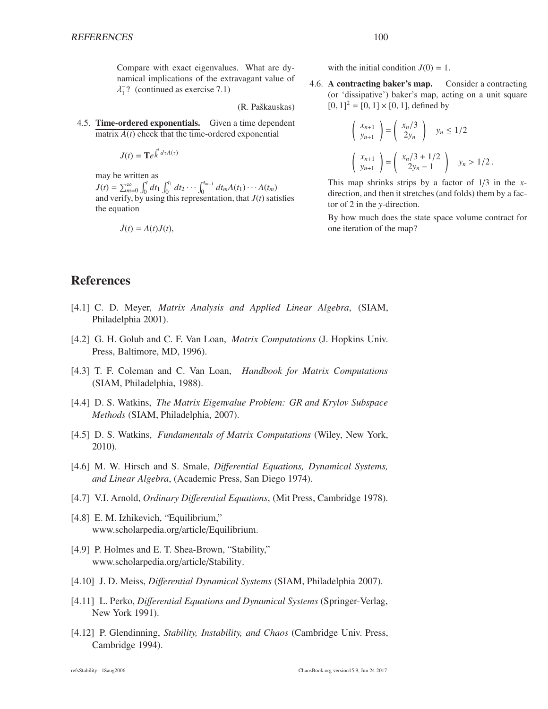Compare with exact eigenvalues. What are dynamical implications of the extravagant value of  $\lambda_1^-$ ? (continued as exercise 7.1)

(R. Paškauskas)

4.5. Time-ordered exponentials. Given a time dependent matrix  $A(t)$  check that the time-ordered exponential

$$
J(t) = \mathbf{T}e^{\int_0^t d\tau A(\tau)}
$$

may be written as  $J(t) = \sum_{m=0}^{\infty} \int_0^t dt_1 \int_0^{t_1} dt_2 \cdots \int_0^{t_{m-1}} dt_m A(t_1) \cdots A(t_m)$ and verify, by using this representation, that *J*(*t*) satisfies the equation

$$
\dot{J}(t) = A(t)J(t),
$$

with the initial condition  $J(0) = 1$ .

4.6. A contracting baker's map. Consider a contracting (or 'dissipative') baker's map, acting on a unit square  $[0, 1]^2 = [0, 1] \times [0, 1]$ , defined by

$$
\begin{pmatrix} x_{n+1} \\ y_{n+1} \end{pmatrix} = \begin{pmatrix} x_n/3 \\ 2y_n \end{pmatrix} \quad y_n \le 1/2
$$

$$
\begin{pmatrix} x_{n+1} \\ y_{n+1} \end{pmatrix} = \begin{pmatrix} x_n/3 + 1/2 \\ 2y_n - 1 \end{pmatrix} \quad y_n > 1/2.
$$

This map shrinks strips by a factor of 1/3 in the *x*direction, and then it stretches (and folds) them by a factor of 2 in the *y*-direction.

By how much does the state space volume contract for one iteration of the map?

## References

- [4.1] C. D. Meyer, *Matrix Analysis and Applied Linear Algebra*, (SIAM, Philadelphia 2001).
- [4.2] G. H. Golub and C. F. Van Loan, *Matrix Computations* (J. Hopkins Univ. Press, Baltimore, MD, 1996).
- [4.3] T. F. Coleman and C. Van Loan, *Handbook for Matrix Computations* (SIAM, Philadelphia, 1988).
- [4.4] D. S. Watkins, *The Matrix Eigenvalue Problem: GR and Krylov Subspace Methods* (SIAM, Philadelphia, 2007).
- [4.5] D. S. Watkins, *Fundamentals of Matrix Computations* (Wiley, New York, 2010).
- [4.6] M. W. Hirsch and S. Smale, *Di*ff*erential Equations, Dynamical Systems, and Linear Algebra*, (Academic Press, San Diego 1974).
- [4.7] V.I. Arnold, *Ordinary Di*ff*erential Equations*, (Mit Press, Cambridge 1978).
- [4.8] E. M. Izhikevich, "Equilibrium," www.scholarpedia.org/article/Equilibrium.
- [4.9] P. Holmes and E. T. Shea-Brown, "Stability," www.scholarpedia.org/article/Stability.
- [4.10] J. D. Meiss, *Di*ff*erential Dynamical Systems* (SIAM, Philadelphia 2007).
- [4.11] L. Perko, *Differential Equations and Dynamical Systems* (Springer-Verlag, New York 1991).
- [4.12] P. Glendinning, *Stability, Instability, and Chaos* (Cambridge Univ. Press, Cambridge 1994).